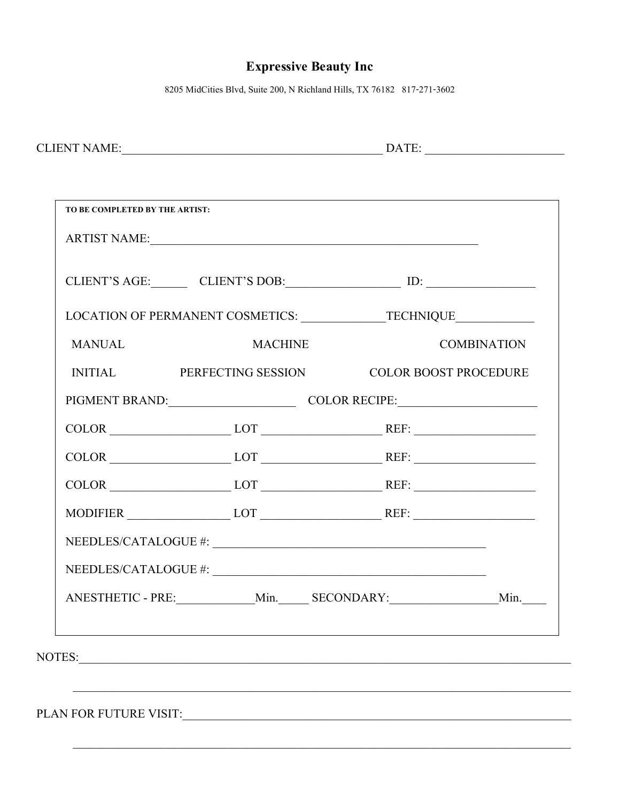## **Expressive Beauty Inc**

8205 MidCities Blvd, Suite 200, N Richland Hills, TX 76182 817-271-3602

| <b>CLIENT NAME:</b><br>ıл |
|---------------------------|
|---------------------------|

|               |                | CLIENT'S AGE: CLIENT'S DOB: ID: ID:                                                                                                                         |  |
|---------------|----------------|-------------------------------------------------------------------------------------------------------------------------------------------------------------|--|
|               |                | LOCATION OF PERMANENT COSMETICS: _______________TECHNIQUE_______________________                                                                            |  |
| <b>MANUAL</b> | <b>MACHINE</b> | <b>COMBINATION</b>                                                                                                                                          |  |
|               |                | INITIAL PERFECTING SESSION COLOR BOOST PROCEDURE                                                                                                            |  |
|               |                | PIGMENT BRAND: COLOR RECIPE:                                                                                                                                |  |
|               |                | $COLOR$ $LOT$ $LOT$ $REF:$                                                                                                                                  |  |
|               |                | $COLOR$ $LOT$ $LOT$ $REF:$                                                                                                                                  |  |
|               |                | COLOR LOT LOT REF:                                                                                                                                          |  |
|               |                | $MODIFIER$ $LOT$ $REF:$                                                                                                                                     |  |
|               |                | $\label{eq:NEEDLES/CATALOGUE} \textit{NEEDLES/CATALOGUE}\; \textit{\#:}\; \underline{\textcolor{red}{\sum_{\textcolor{blue}{\textbf{1.5}}}}\; \textit{``}}$ |  |
|               |                |                                                                                                                                                             |  |
|               |                | ANESTHETIC - PRE: _______________Min. ______ SECONDARY: ______________________Min. _____                                                                    |  |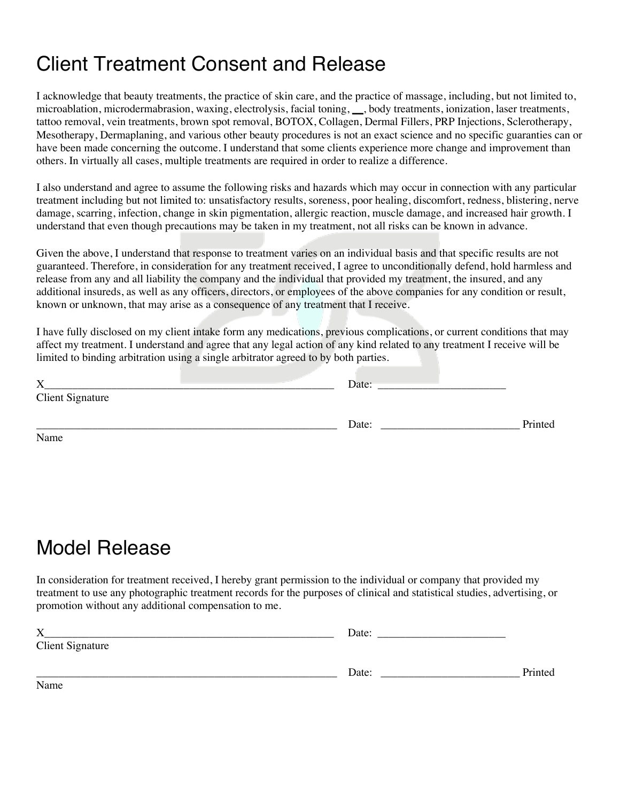# Client Treatment Consent and Release

I acknowledge that beauty treatments, the practice of skin care, and the practice of massage, including, but not limited to, microablation, microdermabrasion, waxing, electrolysis, facial toning, **\_\_**, body treatments, ionization, laser treatments, tattoo removal, vein treatments, brown spot removal, BOTOX, Collagen, Dermal Fillers, PRP Injections, Sclerotherapy, Mesotherapy, Dermaplaning, and various other beauty procedures is not an exact science and no specific guaranties can or have been made concerning the outcome. I understand that some clients experience more change and improvement than others. In virtually all cases, multiple treatments are required in order to realize a difference.

I also understand and agree to assume the following risks and hazards which may occur in connection with any particular treatment including but not limited to: unsatisfactory results, soreness, poor healing, discomfort, redness, blistering, nerve damage, scarring, infection, change in skin pigmentation, allergic reaction, muscle damage, and increased hair growth. I understand that even though precautions may be taken in my treatment, not all risks can be known in advance.

Given the above, I understand that response to treatment varies on an individual basis and that specific results are not guaranteed. Therefore, in consideration for any treatment received, I agree to unconditionally defend, hold harmless and release from any and all liability the company and the individual that provided my treatment, the insured, and any additional insureds, as well as any officers, directors, or employees of the above companies for any condition or result, known or unknown, that may arise as a consequence of any treatment that I receive.

I have fully disclosed on my client intake form any medications, previous complications, or current conditions that may affect my treatment. I understand and agree that any legal action of any kind related to any treatment I receive will be limited to binding arbitration using a single arbitrator agreed to by both parties.

| X                       | Date: |         |
|-------------------------|-------|---------|
| <b>Client Signature</b> |       |         |
|                         | Date: | Printed |
| Name                    |       |         |

# Model Release

In consideration for treatment received, I hereby grant permission to the individual or company that provided my treatment to use any photographic treatment records for the purposes of clinical and statistical studies, advertising, or promotion without any additional compensation to me.

| X                       | Date: |         |
|-------------------------|-------|---------|
| <b>Client Signature</b> |       |         |
|                         | Date: | Printed |
| Name                    |       |         |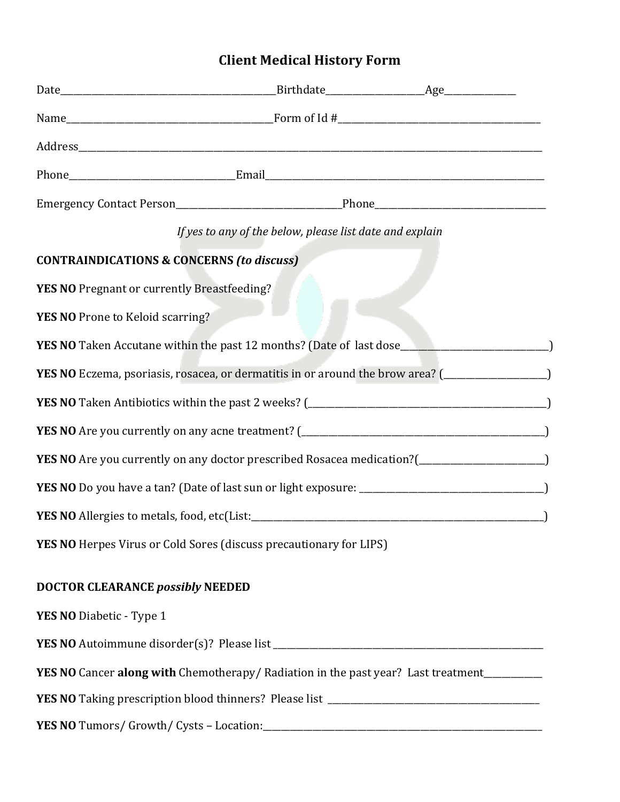## **Client Medical History Form**

|                                                                                                      | If yes to any of the below, please list date and explain |  |
|------------------------------------------------------------------------------------------------------|----------------------------------------------------------|--|
| <b>CONTRAINDICATIONS &amp; CONCERNS (to discuss)</b>                                                 |                                                          |  |
| YES NO Pregnant or currently Breastfeeding?                                                          |                                                          |  |
| YES NO Prone to Keloid scarring?                                                                     |                                                          |  |
| YES NO Taken Accutane within the past 12 months? (Date of last dose_________________________________ |                                                          |  |
| YES NO Eczema, psoriasis, rosacea, or dermatitis in or around the brow area? (___________________)   |                                                          |  |
|                                                                                                      |                                                          |  |
|                                                                                                      |                                                          |  |
| YES NO Are you currently on any doctor prescribed Rosacea medication?(______________________________ |                                                          |  |
|                                                                                                      |                                                          |  |
|                                                                                                      |                                                          |  |
| <b>YES NO</b> Herpes Virus or Cold Sores (discuss precautionary for LIPS)                            |                                                          |  |
| <b>DOCTOR CLEARANCE possibly NEEDED</b>                                                              |                                                          |  |
| YES NO Diabetic - Type 1                                                                             |                                                          |  |
|                                                                                                      |                                                          |  |
| <b>YES NO</b> Cancer along with Chemotherapy/Radiation in the past year? Last treatment_________     |                                                          |  |
|                                                                                                      |                                                          |  |
|                                                                                                      |                                                          |  |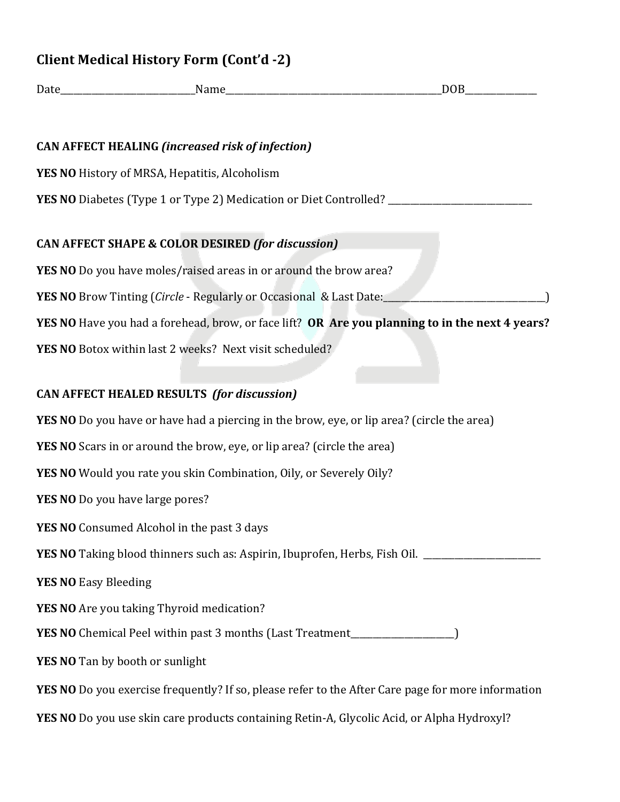| <b>Client Medical History Form (Cont'd -2)</b> |  |
|------------------------------------------------|--|
|                                                |  |

| <b>CAN AFFECT HEALING (increased risk of infection)</b>                                         |
|-------------------------------------------------------------------------------------------------|
| YES NO History of MRSA, Hepatitis, Alcoholism                                                   |
| YES NO Diabetes (Type 1 or Type 2) Medication or Diet Controlled? __                            |
| <b>CAN AFFECT SHAPE &amp; COLOR DESIRED (for discussion)</b>                                    |
| YES NO Do you have moles/raised areas in or around the brow area?                               |
| <b>YES NO</b> Brow Tinting (Circle - Regularly or Occasional & Last Date:                       |
| YES NO Have you had a forehead, brow, or face lift? OR Are you planning to in the next 4 years? |
| YES NO Botox within last 2 weeks? Next visit scheduled?                                         |
|                                                                                                 |
| <b>CAN AFFECT HEALED RESULTS (for discussion)</b>                                               |
| YES NO Do you have or have had a piercing in the brow, eye, or lip area? (circle the area)      |
| <b>YES NO</b> Scars in or around the brow, eye, or lip area? (circle the area)                  |
| YES NO Would you rate you skin Combination, Oily, or Severely Oily?                             |
| YES NO Do you have large pores?                                                                 |
| <b>YES NO</b> Consumed Alcohol in the past 3 days                                               |
| YES NO Taking blood thinners such as: Aspirin, Ibuprofen, Herbs, Fish Oil.                      |

Date **Date Name Name DOB** 

**YES NO** Easy Bleeding

**YES NO** Are you taking Thyroid medication?

YES NO Chemical Peel within past 3 months (Last Treatment\_\_\_\_\_\_\_\_\_\_\_\_\_\_\_\_\_\_)

**YES NO** Tan by booth or sunlight

**YES NO** Do you exercise frequently? If so, please refer to the After Care page for more information

**YES NO** Do you use skin care products containing Retin-A, Glycolic Acid, or Alpha Hydroxyl?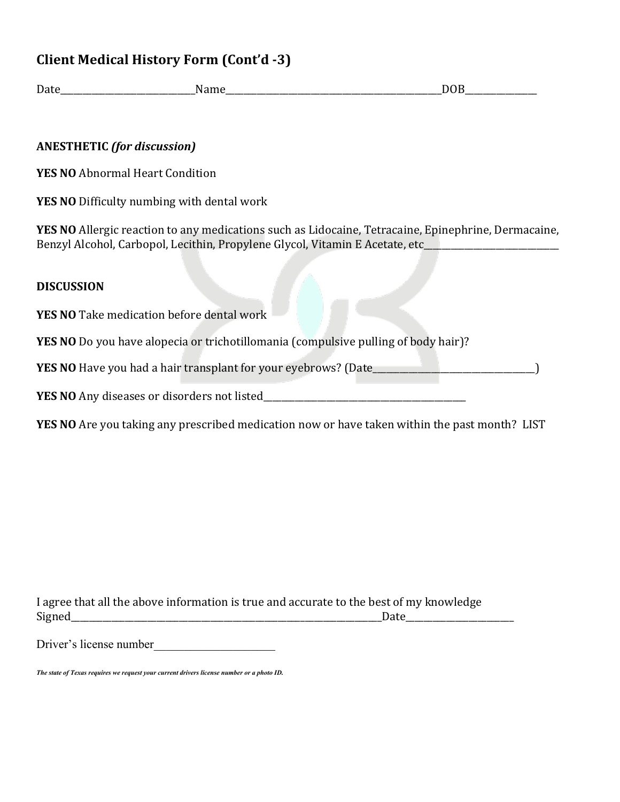## **Client Medical History Form (Cont'd -3)**

Date **Date DoB** 

#### **ANESTHETIC** *(for discussion)*

**YES NO** Abnormal Heart Condition

**YES NO** Difficulty numbing with dental work

**YES NO** Allergic reaction to any medications such as Lidocaine, Tetracaine, Epinephrine, Dermacaine, Benzyl Alcohol, Carbopol, Lecithin, Propylene Glycol, Vitamin E Acetate, etc\_\_\_

#### **DISCUSSION**

**YES NO** Take medication before dental work

**YES NO** Do you have alopecia or trichotillomania (compulsive pulling of body hair)?

**YES NO** Have you had a hair transplant for your eyebrows? (Date\_\_\_\_\_\_\_\_\_\_\_\_\_\_\_\_\_\_\_\_\_\_\_\_\_\_\_\_\_\_\_\_\_\_\_\_)

**YES NO** Any diseases or disorders not listed\_\_\_\_\_\_\_\_\_\_\_\_\_\_\_\_\_\_\_\_\_\_\_\_\_\_\_\_\_\_\_\_\_\_\_\_\_\_\_\_\_\_\_\_\_

**YES NO** Are you taking any prescribed medication now or have taken within the past month? LIST

I agree that all the above information is true and accurate to the best of my knowledge Signed\_\_\_\_\_\_\_\_\_\_\_\_\_\_\_\_\_\_\_\_\_\_\_\_\_\_\_\_\_\_\_\_\_\_\_\_\_\_\_\_\_\_\_\_\_\_\_\_\_\_\_\_\_\_\_\_\_\_\_\_\_\_\_\_\_\_\_\_\_Date\_\_\_\_\_\_\_\_\_\_\_\_\_\_\_\_\_\_\_\_\_\_\_\_ 

Driver's license number

*The state of Texas requires we request your current drivers license number or a photo ID.*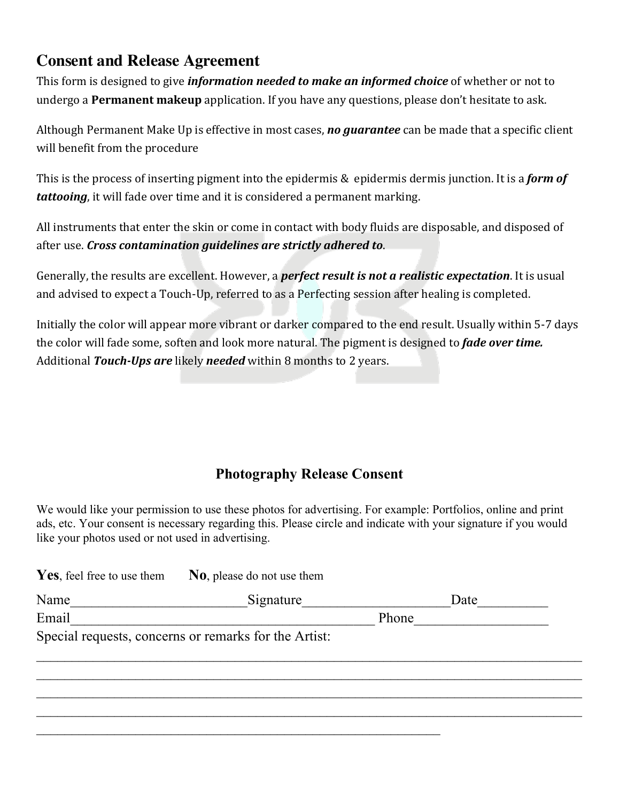## **Consent and Release Agreement**

This form is designed to give *information needed to make an informed choice* of whether or not to undergo a **Permanent makeup** application. If you have any questions, please don't hesitate to ask.

Although Permanent Make Up is effective in most cases, *no guarantee* can be made that a specific client will benefit from the procedure

This is the process of inserting pigment into the epidermis & epidermis dermis junction. It is a **form of tattooing**, it will fade over time and it is considered a permanent marking.

All instruments that enter the skin or come in contact with body fluids are disposable, and disposed of after use. *Cross contamination guidelines are strictly adhered to.* 

Generally, the results are excellent. However, a **perfect result is not a realistic expectation**. It is usual and advised to expect a Touch-Up, referred to as a Perfecting session after healing is completed.

Initially the color will appear more vibrant or darker compared to the end result. Usually within 5-7 days the color will fade some, soften and look more natural. The pigment is designed to *fade over time.* Additional *Touch-Ups are* likely *needed* within 8 months to 2 years.

### **Photography Release Consent**

We would like your permission to use these photos for advertising. For example: Portfolios, online and print ads, etc. Your consent is necessary regarding this. Please circle and indicate with your signature if you would like your photos used or not used in advertising.

| Yes, feel free to use them | No, please do not use them                            |       |      |  |
|----------------------------|-------------------------------------------------------|-------|------|--|
| Name                       | Signature                                             |       | Date |  |
| Email                      |                                                       | Phone |      |  |
|                            | Special requests, concerns or remarks for the Artist: |       |      |  |
|                            |                                                       |       |      |  |
|                            |                                                       |       |      |  |
|                            |                                                       |       |      |  |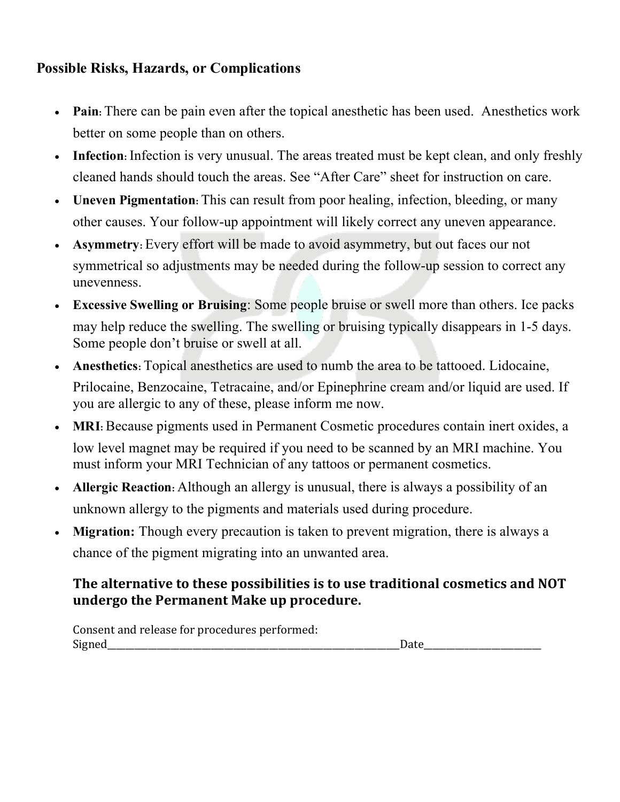## **Possible Risks, Hazards, or Complications**

- **Pain:** There can be pain even after the topical anesthetic has been used. Anesthetics work better on some people than on others.
- **Infection**: Infection is very unusual. The areas treated must be kept clean, and only freshly cleaned hands should touch the areas. See "After Care" sheet for instruction on care.
- **Uneven Pigmentation:** This can result from poor healing, infection, bleeding, or many other causes. Your follow-up appointment will likely correct any uneven appearance.
- **Asymmetry:** Every effort will be made to avoid asymmetry, but out faces our not symmetrical so adjustments may be needed during the follow-up session to correct any unevenness.
- **Excessive Swelling or Bruising**: Some people bruise or swell more than others. Ice packs may help reduce the swelling. The swelling or bruising typically disappears in 1-5 days. Some people don't bruise or swell at all.
- **Anesthetics:** Topical anesthetics are used to numb the area to be tattooed. Lidocaine, Prilocaine, Benzocaine, Tetracaine, and/or Epinephrine cream and/or liquid are used. If you are allergic to any of these, please inform me now.
- MRI: Because pigments used in Permanent Cosmetic procedures contain inert oxides, a low level magnet may be required if you need to be scanned by an MRI machine. You must inform your MRI Technician of any tattoos or permanent cosmetics.
- **Allergic Reaction:** Although an allergy is unusual, there is always a possibility of an unknown allergy to the pigments and materials used during procedure.
- **Migration:** <sup>T</sup>hough every precaution is taken to prevent migration, there is always a chance of the pigment migrating into an unwanted area.

## **The alternative to these possibilities is to use traditional cosmetics and NOT undergo the Permanent Make up procedure.**

Consent and release for procedures performed: Signed and the set of the set of the set of the set of the set of the set of the set of the set of the set of the set of the set of the set of the set of the set of the set of the set of the set of the set of the set of th